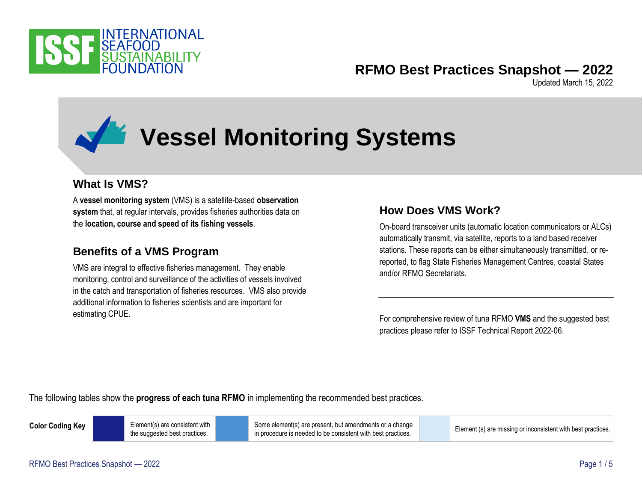

# **RFMO Best Practices Snapshot — 2022**

Updated March 15, 2022

# **Vessel Monitoring Systems**

### **What Is VMS?**

A **vessel monitoring system** (VMS) is a satellite-based **observation system** that, at regular intervals, provides fisheries authorities data on the **location, course and speed of its fishing vessels**.

#### **Benefits of a VMS Program**

VMS are integral to effective fisheries management. They enable monitoring, control and surveillance of the activities of vessels involved in the catch and transportation of fisheries resources. VMS also provide additional information to fisheries scientists and are important for estimating CPUE.

## **How Does VMS Work?**

On-board transceiver units (automatic location communicators or ALCs) automatically transmit, via satellite, reports to a land based receiver stations. These reports can be either simultaneously transmitted, or rereported, to flag State Fisheries Management Centres, coastal States and/or RFMO Secretariats.

For comprehensive review of tuna RFMO **VMS** and the suggested best practices please refer to [ISSF Technical Report 2022-06.](https://www.iss-foundation.org/research-advocacy-recommendations/our-scientific-program/best-practices-reports/download-info/issf-2022-06-rfmo-vessel-monitoring-systems-a-comparative-analysis-to-identify-best-practices/)

The following tables show the **progress of each tuna RFMO** in implementing the recommended best practices.

**Color Coding Key Element(s)** are consistent with the suggested best practices.

Some element(s) are present, but amendments or a change Some element(s) are present, but amendments or a change<br>in procedure is needed to be consistent with best practices.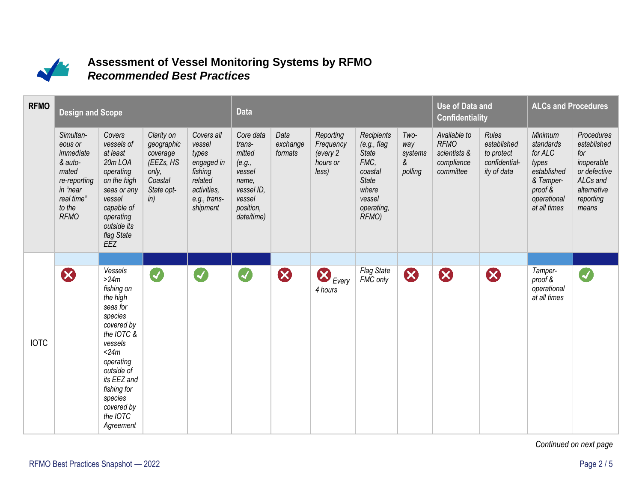

## **Assessment of Vessel Monitoring Systems by RFMO** *Recommended Best Practices*

| <b>RFMO</b> | <b>Design and Scope</b>                                                                                                  | <b>Data</b>                                                                                                                                                                                                             |                                                                                            |                                                                                                              |                                                                                                               | <b>Use of Data and</b><br><b>Confidentiality</b> |                                                         | <b>ALCs and Procedures</b>                                                                                              |                                        |                                                                        |                                                                    |                                                                                                                       |                                                                                                                 |
|-------------|--------------------------------------------------------------------------------------------------------------------------|-------------------------------------------------------------------------------------------------------------------------------------------------------------------------------------------------------------------------|--------------------------------------------------------------------------------------------|--------------------------------------------------------------------------------------------------------------|---------------------------------------------------------------------------------------------------------------|--------------------------------------------------|---------------------------------------------------------|-------------------------------------------------------------------------------------------------------------------------|----------------------------------------|------------------------------------------------------------------------|--------------------------------------------------------------------|-----------------------------------------------------------------------------------------------------------------------|-----------------------------------------------------------------------------------------------------------------|
|             | Simultan-<br>eous or<br>immediate<br>& auto-<br>mated<br>re-reporting<br>in "near<br>real time"<br>to the<br><b>RFMO</b> | Covers<br>vessels of<br>at least<br>20mLOA<br>operating<br>on the high<br>seas or any<br>vessel<br>capable of<br>operating<br>outside its<br>flag State<br>EEZ                                                          | Clarity on<br>geographic<br>coverage<br>(EEZs, HS<br>only,<br>Coastal<br>State opt-<br>in) | Covers all<br>vessel<br>types<br>engaged in<br>fishing<br>related<br>activities,<br>e.g., trans-<br>shipment | Core data<br>trans-<br>mitted<br>(e.g.,<br>vessel<br>name,<br>vessel ID,<br>vessel<br>position,<br>date/time) | Data<br>exchange<br>formats                      | Reporting<br>Frequency<br>(every 2<br>hours or<br>less) | Recipients<br>(e.g., flag)<br><b>State</b><br>FMC,<br>coastal<br><b>State</b><br>where<br>vessel<br>operating,<br>RFMO) | Two-<br>way<br>systems<br>&<br>polling | Available to<br><b>RFMO</b><br>scientists &<br>compliance<br>committee | Rules<br>established<br>to protect<br>confidential-<br>ity of data | <b>Minimum</b><br>standards<br>for ALC<br>types<br>established<br>& Tamper-<br>proof &<br>operational<br>at all times | Procedures<br>established<br>for<br>inoperable<br>or defective<br>ALCs and<br>alternative<br>reporting<br>means |
|             |                                                                                                                          | Vessels                                                                                                                                                                                                                 |                                                                                            |                                                                                                              |                                                                                                               |                                                  |                                                         | <b>Flag State</b>                                                                                                       |                                        |                                                                        |                                                                    | Tamper-                                                                                                               |                                                                                                                 |
| <b>IOTC</b> | Ø                                                                                                                        | $>24m$<br>fishing on<br>the high<br>seas for<br>species<br>covered by<br>the IOTC &<br>vessels<br>$<$ 24 $m$<br>operating<br>outside of<br>its EEZ and<br>fishing for<br>species<br>covered by<br>the IOTC<br>Agreement | Ø                                                                                          | Ø                                                                                                            | Ø                                                                                                             | $\boldsymbol{\Omega}$                            | $\sum$ Every<br>4 hours                                 | FMC only                                                                                                                | $\bullet$                              | B                                                                      | B                                                                  | proof &<br>operational<br>at all times                                                                                |                                                                                                                 |

*Continued on next page*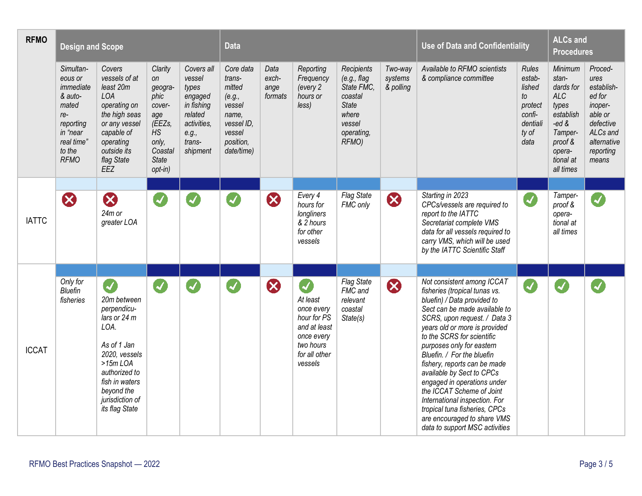| <b>RFMO</b>  | <b>Design and Scope</b>                                                                                                        |                                                                                                                                                                                             |                                                                                                             |                                                                                                                 | <b>Data</b>                                                                                                   |                                  |                                                                                                                   |                                                                                                               |                                 | <b>Use of Data and Confidentiality</b>                                                                                                                                                                                                                                                                                                                                                                                                                                                                                                            |                                                                                          | <b>ALCs and</b><br><b>Procedures</b>                                                                                                   |                                                                                                                             |
|--------------|--------------------------------------------------------------------------------------------------------------------------------|---------------------------------------------------------------------------------------------------------------------------------------------------------------------------------------------|-------------------------------------------------------------------------------------------------------------|-----------------------------------------------------------------------------------------------------------------|---------------------------------------------------------------------------------------------------------------|----------------------------------|-------------------------------------------------------------------------------------------------------------------|---------------------------------------------------------------------------------------------------------------|---------------------------------|---------------------------------------------------------------------------------------------------------------------------------------------------------------------------------------------------------------------------------------------------------------------------------------------------------------------------------------------------------------------------------------------------------------------------------------------------------------------------------------------------------------------------------------------------|------------------------------------------------------------------------------------------|----------------------------------------------------------------------------------------------------------------------------------------|-----------------------------------------------------------------------------------------------------------------------------|
|              | Simultan-<br>eous or<br>immediate<br>& auto-<br>mated<br>$re-$<br>reporting<br>in "near<br>real time"<br>to the<br><b>RFMO</b> | Covers<br>vessels of at<br>least 20m<br>LOA<br>operating on<br>the high seas<br>or any vessel<br>capable of<br>operating<br>outside its<br>flag State<br>EEZ                                | Clarity<br>on<br>geogra-<br>phic<br>cover-<br>age<br>(EEZs,<br>HS<br>only,<br>Coastal<br>State<br>$opt-in)$ | Covers all<br>vessel<br>types<br>engaged<br>in fishing<br>related<br>activities.<br>e.g.,<br>trans-<br>shipment | Core data<br>trans-<br>mitted<br>(e.g.,<br>vessel<br>name.<br>vessel ID.<br>vessel<br>position,<br>date/time) | Data<br>exch-<br>ange<br>formats | Reporting<br>Frequency<br>(every 2<br>hours or<br>less)                                                           | Recipients<br>(e.g., flag)<br>State FMC,<br>coastal<br><b>State</b><br>where<br>vessel<br>operating,<br>RFMO) | Two-way<br>systems<br>& polling | Available to RFMO scientists<br>& compliance committee                                                                                                                                                                                                                                                                                                                                                                                                                                                                                            | <b>Rules</b><br>estab-<br>lished<br>to<br>protect<br>confi-<br>dentiali<br>ty of<br>data | Minimum<br>stan-<br>dards for<br><b>ALC</b><br>types<br>establish<br>-ed $&$<br>Tamper-<br>proof &<br>opera-<br>tional at<br>all times | Proced-<br>ures<br>establish-<br>ed for<br>inoper-<br>able or<br>defective<br>ALCs and<br>alternative<br>reporting<br>means |
|              |                                                                                                                                |                                                                                                                                                                                             |                                                                                                             |                                                                                                                 |                                                                                                               |                                  |                                                                                                                   |                                                                                                               |                                 |                                                                                                                                                                                                                                                                                                                                                                                                                                                                                                                                                   |                                                                                          |                                                                                                                                        |                                                                                                                             |
| <b>IATTC</b> | $\boldsymbol{\Omega}$                                                                                                          | Ø<br>24m or<br>greater LOA                                                                                                                                                                  | $\boldsymbol{J}$                                                                                            | $\blacktriangleright$                                                                                           | $\blacktriangledown$                                                                                          | B                                | Every 4<br>hours for<br>longliners<br>& 2 hours<br>for other<br>vessels                                           | <b>Flag State</b><br>FMC only                                                                                 | 8                               | Starting in 2023<br>CPCs/vessels are required to<br>report to the IATTC<br>Secretariat complete VMS<br>data for all vessels required to<br>carry VMS, which will be used<br>by the IATTC Scientific Staff                                                                                                                                                                                                                                                                                                                                         | Ø                                                                                        | Tamper-<br>proof &<br>opera-<br>tional at<br>all times                                                                                 | J                                                                                                                           |
| <b>ICCAT</b> | Only for<br>Bluefin<br>fisheries                                                                                               | V<br>20m between<br>perpendicu-<br>lars or 24 m<br>LOA.<br>As of 1 Jan<br>2020, vessels<br>$>15m$ LOA<br>authorized to<br>fish in waters<br>beyond the<br>jurisdiction of<br>its flag State | Ø                                                                                                           | $\blacktriangledown$                                                                                            | $\boldsymbol{J}$                                                                                              | B                                | J<br>At least<br>once every<br>hour for PS<br>and at least<br>once every<br>two hours<br>for all other<br>vessels | <b>Flag State</b><br>FMC and<br>relevant<br>coastal<br>State(s)                                               | B                               | Not consistent among ICCAT<br>fisheries (tropical tunas vs.<br>bluefin) / Data provided to<br>Sect can be made available to<br>SCRS, upon request. / Data 3<br>years old or more is provided<br>to the SCRS for scientific<br>purposes only for eastern<br>Bluefin. / For the bluefin<br>fishery, reports can be made<br>available by Sect to CPCs<br>engaged in operations under<br>the ICCAT Scheme of Joint<br>International inspection. For<br>tropical tuna fisheries, CPCs<br>are encouraged to share VMS<br>data to support MSC activities | $\blacktriangledown$                                                                     |                                                                                                                                        |                                                                                                                             |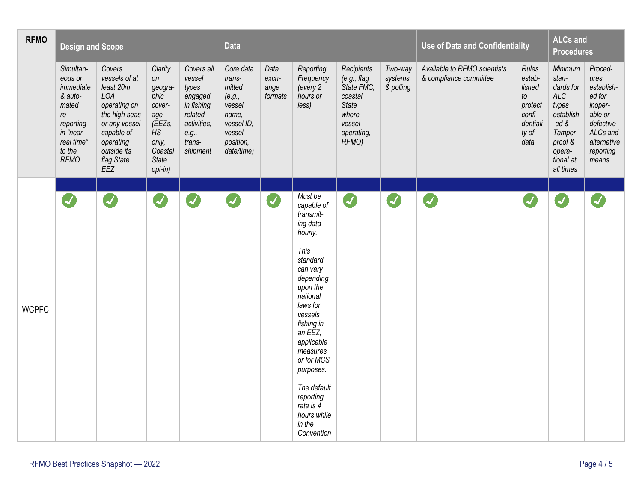| <b>RFMO</b>  | <b>Design and Scope</b>                                                                                                      |                                                                                                                                                              |                                                                                                           |                                                                                                                 | <b>Data</b>                                                                                                   |                                  |                                                                                                                                                                                                                                                                                                                     |                                                                                                               |                                 | <b>Use of Data and Confidentiality</b>                 |                                                                                   | <b>ALCs and</b><br><b>Procedures</b>                                                                                             |                                                                                                                             |
|--------------|------------------------------------------------------------------------------------------------------------------------------|--------------------------------------------------------------------------------------------------------------------------------------------------------------|-----------------------------------------------------------------------------------------------------------|-----------------------------------------------------------------------------------------------------------------|---------------------------------------------------------------------------------------------------------------|----------------------------------|---------------------------------------------------------------------------------------------------------------------------------------------------------------------------------------------------------------------------------------------------------------------------------------------------------------------|---------------------------------------------------------------------------------------------------------------|---------------------------------|--------------------------------------------------------|-----------------------------------------------------------------------------------|----------------------------------------------------------------------------------------------------------------------------------|-----------------------------------------------------------------------------------------------------------------------------|
|              | Simultan-<br>eous or<br>immediate<br>& auto-<br>mated<br>re-<br>reporting<br>in "near<br>real time"<br>to the<br><b>RFMO</b> | Covers<br>vessels of at<br>least 20m<br>LOA<br>operating on<br>the high seas<br>or any vessel<br>capable of<br>operating<br>outside its<br>flag State<br>EEZ | Clarity<br>on<br>geogra-<br>phic<br>cover-<br>age<br>(EEZs,<br>HS<br>only,<br>Coastal<br>State<br>opt-in) | Covers all<br>vessel<br>types<br>engaged<br>in fishing<br>related<br>activities,<br>e.g.,<br>trans-<br>shipment | Core data<br>trans-<br>mitted<br>(e.g.,<br>vessel<br>name,<br>vessel ID,<br>vessel<br>position,<br>date/time) | Data<br>exch-<br>ange<br>formats | Reporting<br>Frequency<br>(every 2<br>hours or<br>less)                                                                                                                                                                                                                                                             | Recipients<br>(e.g., flag)<br>State FMC,<br>coastal<br><b>State</b><br>where<br>vessel<br>operating,<br>RFMO) | Two-way<br>systems<br>& polling | Available to RFMO scientists<br>& compliance committee | Rules<br>estab-<br>lished<br>to<br>protect<br>confi-<br>dentiali<br>ty of<br>data | Minimum<br>stan-<br>dards for<br>ALC<br>types<br>establish<br>-ed $\&$<br>Tamper-<br>proof &<br>opera-<br>tional at<br>all times | Proced-<br>ures<br>establish-<br>ed for<br>inoper-<br>able or<br>defective<br>ALCs and<br>alternative<br>reporting<br>means |
|              |                                                                                                                              |                                                                                                                                                              |                                                                                                           |                                                                                                                 |                                                                                                               |                                  |                                                                                                                                                                                                                                                                                                                     |                                                                                                               |                                 |                                                        |                                                                                   |                                                                                                                                  |                                                                                                                             |
| <b>WCPFC</b> | Ø                                                                                                                            | Ø                                                                                                                                                            | Ø                                                                                                         | $\blacktriangledown$                                                                                            | Ø                                                                                                             | Ø                                | Must be<br>capable of<br>transmit-<br>ing data<br>hourly.<br>This<br>standard<br>can vary<br>depending<br>upon the<br>national<br>laws for<br>vessels<br>fishing in<br>an EEZ,<br>applicable<br>measures<br>or for MCS<br>purposes.<br>The default<br>reporting<br>rate is 4<br>hours while<br>in the<br>Convention | Ø                                                                                                             | Ø                               | $\boldsymbol{Z}$                                       | $\boldsymbol{Z}$                                                                  |                                                                                                                                  |                                                                                                                             |